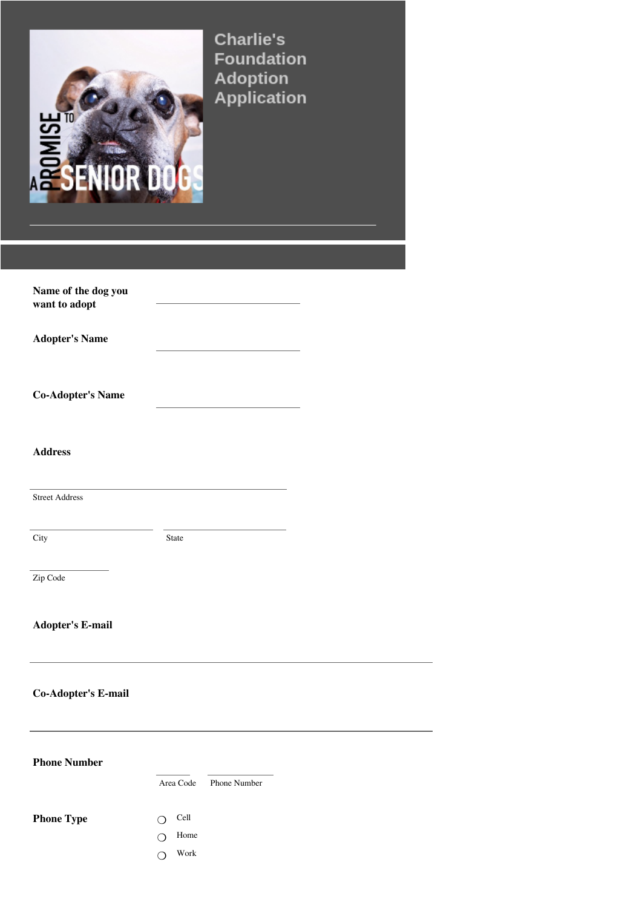

**Charlie's Foundation** 

| Name of the dog you<br>want to adopt |              |              |  |
|--------------------------------------|--------------|--------------|--|
| <b>Adopter's Name</b>                |              |              |  |
| <b>Co-Adopter's Name</b>             |              |              |  |
| <b>Address</b>                       |              |              |  |
| <b>Street Address</b>                |              |              |  |
| City                                 | <b>State</b> |              |  |
| Zip Code                             |              |              |  |
| <b>Adopter's E-mail</b>              |              |              |  |
| <b>Co-Adopter's E-mail</b>           |              |              |  |
| <b>Phone Number</b>                  | Area Code    | Phone Number |  |

**Phone Type** 

Home ❍ O Cell

Work ❍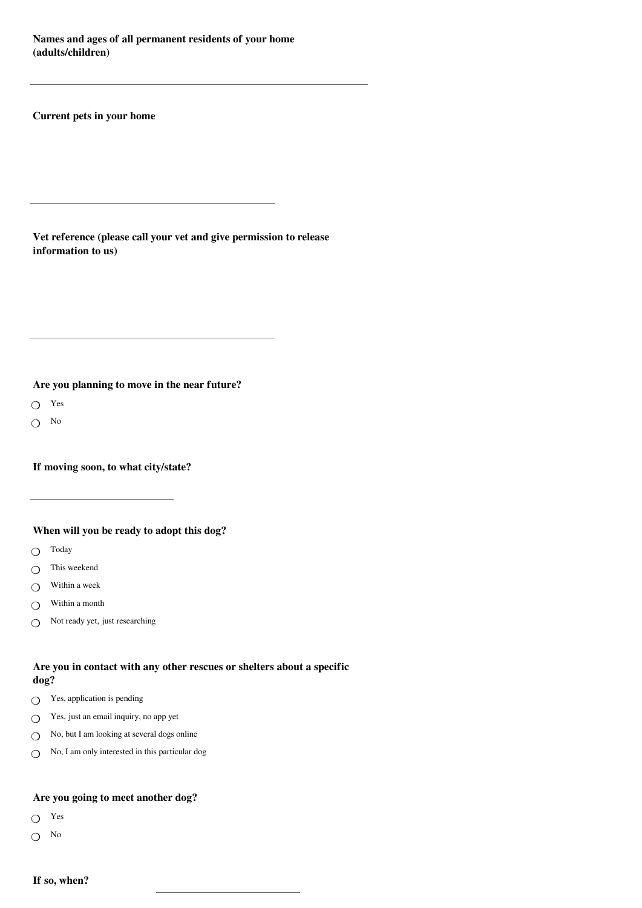**Names and ages of all permanent residents of your home (adults/children)**

**Current pets in your home**

**Vet reference (please call your vet and give permission to release information to us)**

**Are you planning to move in the near future?**

Yes ❍

No  $\Omega$ 

**If moving soon, to what city/state?**

**When will you be ready to adopt this dog?**

- Today  $\Omega$
- This weekend  $\bigcap$
- Within a week  $\Omega$
- Within a month  $\Omega$
- Not ready yet, just researching  $\overline{O}$

# **Are you in contact with any other rescues or shelters about a specific dog?**

- $\bigcirc$  Yes, application is pending
- Yes, just an email inquiry, no app yet  $\Omega$
- No, but I am looking at several dogs online  $\Omega$
- No, I am only interested in this particular dog  $\Omega$

# **Are you going to meet another dog?**

- Yes  $\circ$
- $\bigcirc$  No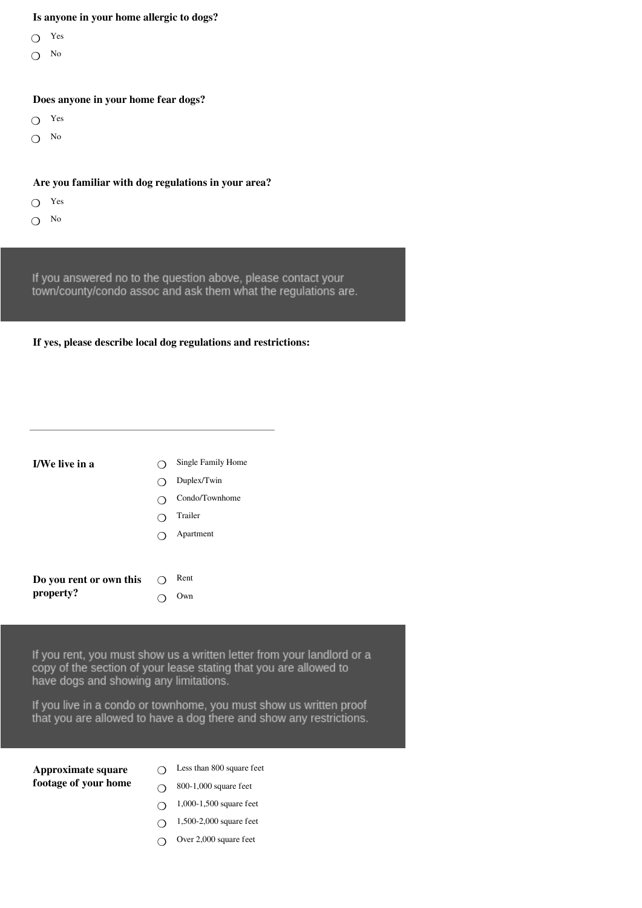#### **Is anyone in your home allergic to dogs?**

- Yes  $\circ$
- No  $\overline{O}$

#### **Does anyone in your home fear dogs?**

- Yes  $\circ$
- $\bigcirc$  No

# **Are you familiar with dog regulations in your area?**

- Yes  $\Omega$
- No  $\Omega$

If you answered no to the question above, please contact your town/county/condo assoc and ask them what the regulations are.

#### **If yes, please describe local dog regulations and restrictions:**

| <b>I/We live in a</b>   | Single Family Home |
|-------------------------|--------------------|
|                         | Duplex/Twin        |
|                         | Condo/Townhome     |
|                         | Trailer            |
|                         | Apartment          |
|                         |                    |
|                         |                    |
| Do you rent or own this | Rent               |

 $\Omega$ 

Own

If you rent, you must show us a written letter from your landlord or a copy of the section of your lease stating that you are allowed to have dogs and showing any limitations.

If you live in a condo or townhome, you must show us written proof that you are allowed to have a dog there and show any restrictions.

## **Approximate square footage of your home**

**property?**

- Less than 800 square feet  $\Omega$
- 800-1,000 square feet  $\Omega$
- 1,000-1,500 square feet  $\Omega$
- 1,500-2,000 square feet  $\Omega$
- Over 2,000 square feet  $\Omega$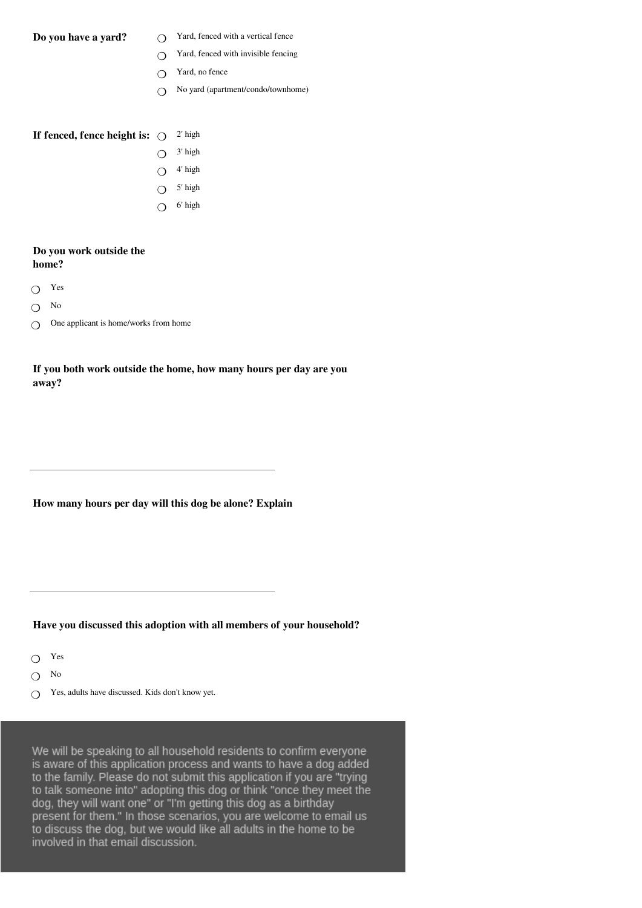- **Do you have a yard?**  $\bigcirc$  Yard, fenced with a vertical fence  $\circ$ 
	- Yard, fenced with invisible fencing  $\bigcap$
	- Yard, no fence  $\bigcirc$
	- No yard (apartment/condo/townhome)  $\bigcap$

## **If fenced, fence height is:**  $\bigcirc$  <sup>2' high</sup>

- 3' high  $\Omega$
- 4' high  $\overline{O}$
- 5' high  $\overline{O}$
- 6' high  $\overline{O}$

#### **Do you work outside the home?**

- Yes  $\Omega$
- No  $\circ$
- One applicant is home/works from home  $\Omega$

# **If you both work outside the home, how many hours per day are you away?**

**How many hours per day will this dog be alone? Explain**

### **Have you discussed this adoption with all members of your household?**

- Yes ❍
- No  $\Omega$
- Yes, adults have discussed. Kids don't know yet.  $\bigcap$

We will be speaking to all household residents to confirm everyone is aware of this application process and wants to have a dog added to the family. Please do not submit this application if you are "trying to talk someone into" adopting this dog or think "once they meet the dog, they will want one" or "I'm getting this dog as a birthday present for them." In those scenarios, you are welcome to email us to discuss the dog, but we would like all adults in the home to be involved in that email discussion.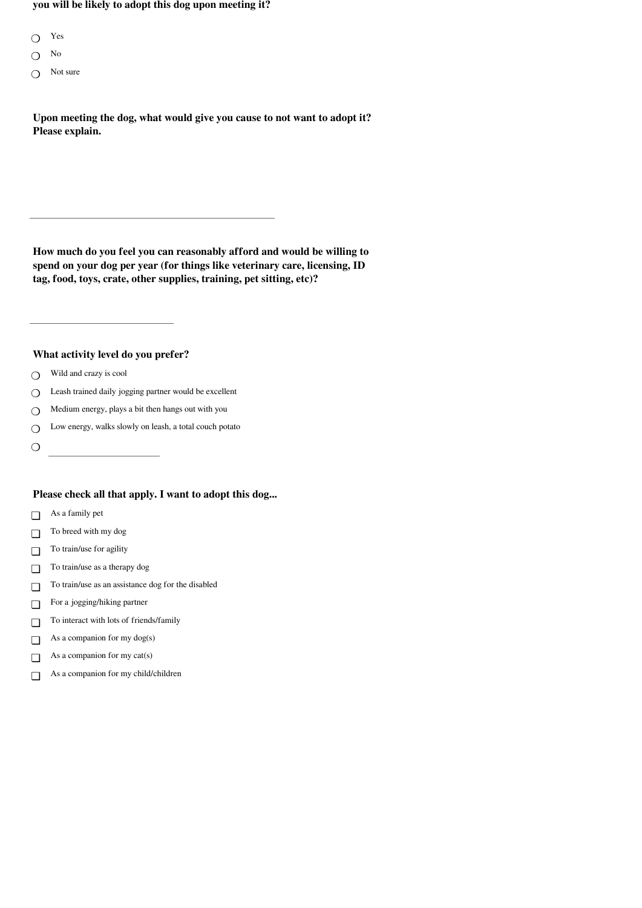**you will be likely to adopt this dog upon meeting it?**

- Yes  $\circ$
- No  $\bigcap$
- Not sure  $\bigcirc$

**Upon meeting the dog, what would give you cause to not want to adopt it? Please explain.**

**How much do you feel you can reasonably afford and would be willing to spend on your dog per year (for things like veterinary care, licensing, ID tag, food, toys, crate, other supplies, training, pet sitting, etc)?**

**What activity level do you prefer?**

- Wild and crazy is cool  $\Omega$
- Leash trained daily jogging partner would be excellent  $\Omega$
- Medium energy, plays a bit then hangs out with you  $\Omega$
- Low energy, walks slowly on leash, a total couch potato  $\Omega$
- $\circ$

### **Please check all that apply. I want to adopt this dog...**

- As a family pet  $\Box$
- To breed with my dog ❏
- To train/use for agility  $\Box$
- To train/use as a therapy dog ❏
- To train/use as an assistance dog for the disabled  $\Box$
- For a jogging/hiking partner  $\Box$
- To interact with lots of friends/family  $\Box$
- As a companion for my dog(s) ❏
- As a companion for my cat(s)  $\Box$
- As a companion for my child/children  $\Box$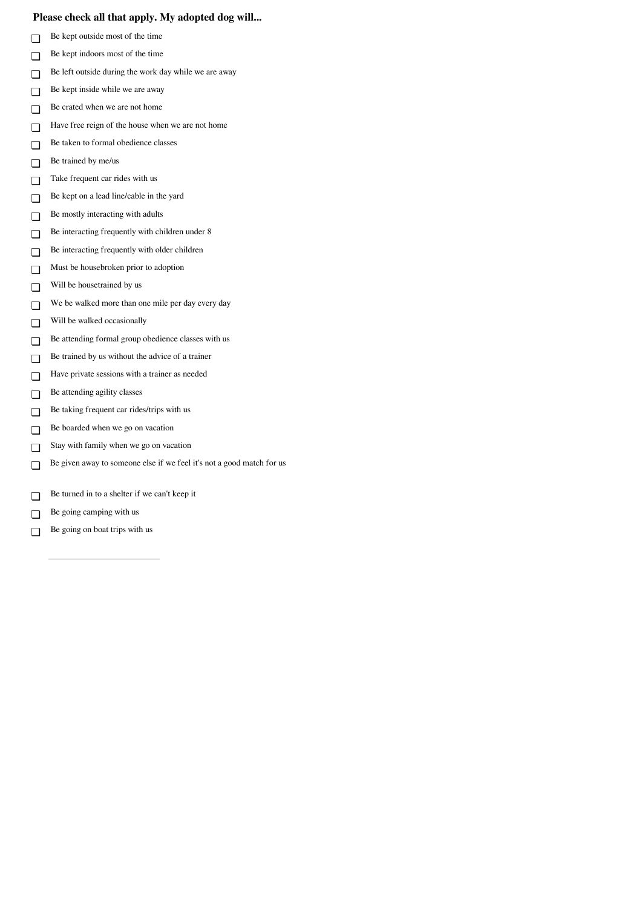### **Please check all that apply. My adopted dog will...**

- Be kept outside most of the time ❏
- Be kept indoors most of the time ❏
- Be left outside during the work day while we are away ❏
- Be kept inside while we are away ❏
- Be crated when we are not home ❏
- Have free reign of the house when we are not home ❏
- Be taken to formal obedience classes ❏
- Be trained by me/us ❏
- Take frequent car rides with us ❏
- Be kept on a lead line/cable in the yard  $\Box$
- Be mostly interacting with adults ❏
- Be interacting frequently with children under 8  $\Box$
- Be interacting frequently with older children ❏
- Must be housebroken prior to adoption  $\Box$
- Will be housetrained by us ❏
- We be walked more than one mile per day every day ❏
- Will be walked occasionally ❏
- Be attending formal group obedience classes with us ❏
- Be trained by us without the advice of a trainer ❏
- Have private sessions with a trainer as needed  $\Box$
- Be attending agility classes  $\Box$
- Be taking frequent car rides/trips with us  $\Box$
- Be boarded when we go on vacation  $\Box$
- Stay with family when we go on vacation  $\Box$
- Be given away to someone else if we feel it's not a good match for us ❏
- Be turned in to a shelter if we can't keep it  $\Box$
- Be going camping with us  $\Box$
- Be going on boat trips with us ❏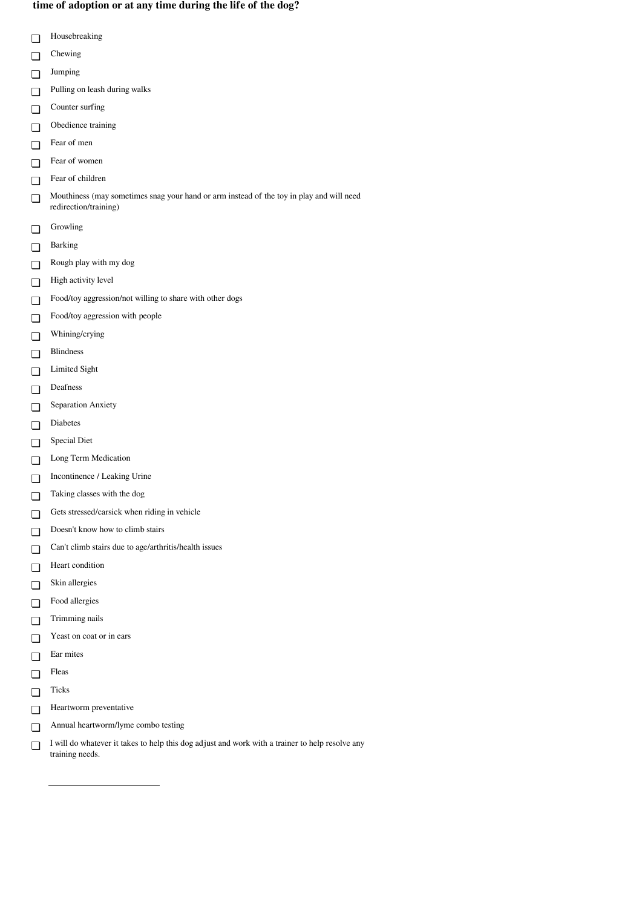#### **time of adoption or at any time during the life of the dog?**

- Housebreaking ❏
- Chewing
- ❏
- Jumping ❏
- Pulling on leash during walks ❏
- Counter surfing ❏
- Obedience training ❏
- Fear of men ❏
- Fear of women ❏
- Fear of children ❏
- Mouthiness (may sometimes snag your hand or arm instead of the toy in play and will need redirection/training) ❏
- Growling  $\Box$
- Barking ❏
- Rough play with my dog ❏
- High activity level ❏
- Food/toy aggression/not willing to share with other dogs ❏
- Food/toy aggression with people  $\Box$
- Whining/crying  $\Box$
- Blindness  $\Box$
- Limited Sight ❏
- Deafness  $\Box$
- Separation Anxiety ❏
- Diabetes ❏
- Special Diet ❏
- Long Term Medication ❏
- Incontinence / Leaking Urine ❏
- Taking classes with the dog ❏
- Gets stressed/carsick when riding in vehicle  $\Box$
- Doesn't know how to climb stairs  $\Box$
- Can't climb stairs due to age/arthritis/health issues ❏
- Heart condition  $\Box$
- Skin allergies  $\Box$
- Food allergies ❏
- Trimming nails ❏
- Yeast on coat or in ears ❏
- Ear mites ❏
- Fleas ❏
- Ticks ❏
- Heartworm preventative ❏
- Annual heartworm/lyme combo testing  $\Box$
- I will do whatever it takes to help this dog adjust and work with a trainer to help resolve any training needs. ❏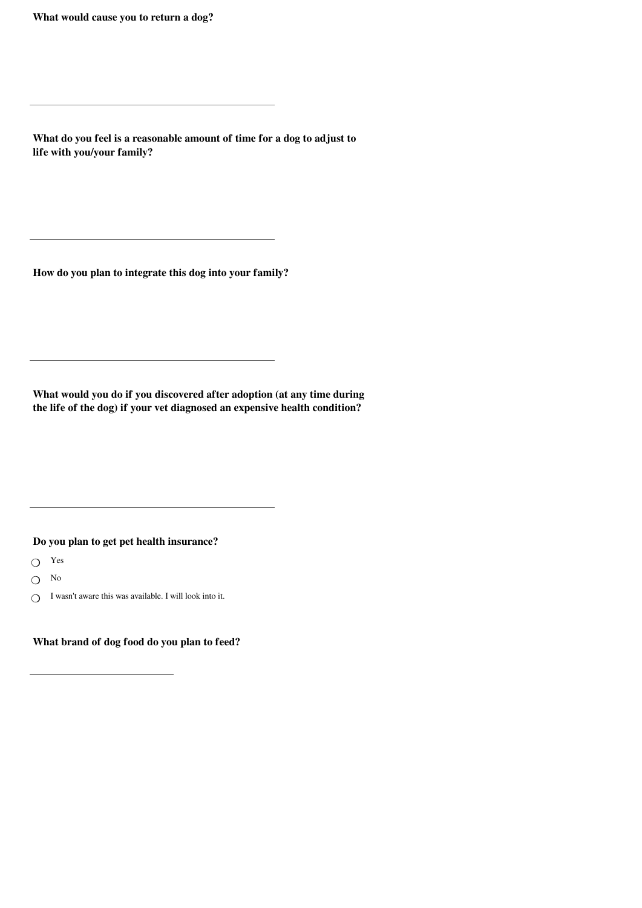**What would cause you to return a dog?**

**What do you feel is a reasonable amount of time for a dog to adjust to life with you/your family?**

**How do you plan to integrate this dog into your family?**

**What would you do if you discovered after adoption (at any time during the life of the dog) if your vet diagnosed an expensive health condition?**

**Do you plan to get pet health insurance?**

- Yes ❍
- No  $\Omega$
- I wasn't aware this was available. I will look into it.  $\Omega$

**What brand of dog food do you plan to feed?**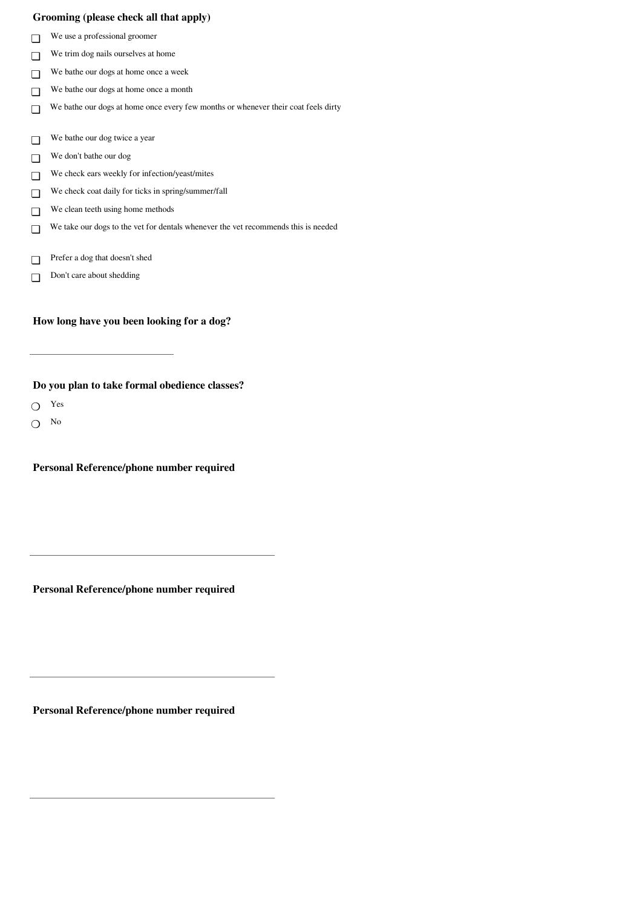#### **Grooming (please check all that apply)**

- We use a professional groomer ❏
- We trim dog nails ourselves at home ❏
- We bathe our dogs at home once a week ❏
- We bathe our dogs at home once a month ❏
- We bathe our dogs at home once every few months or whenever their coat feels dirty ❏
- We bathe our dog twice a year ❏
- We don't bathe our dog ❏
- We check ears weekly for infection/yeast/mites ❏
- We check coat daily for ticks in spring/summer/fall  $\Box$
- We clean teeth using home methods ❏
- We take our dogs to the vet for dentals whenever the vet recommends this is needed ❏
- Prefer a dog that doesn't shed ❏
- Don't care about shedding  $\Box$

#### **How long have you been looking for a dog?**

# **Do you plan to take formal obedience classes?**

- Yes  $\Omega$
- No  $\overline{O}$

**Personal Reference/phone number required**

**Personal Reference/phone number required**

**Personal Reference/phone number required**